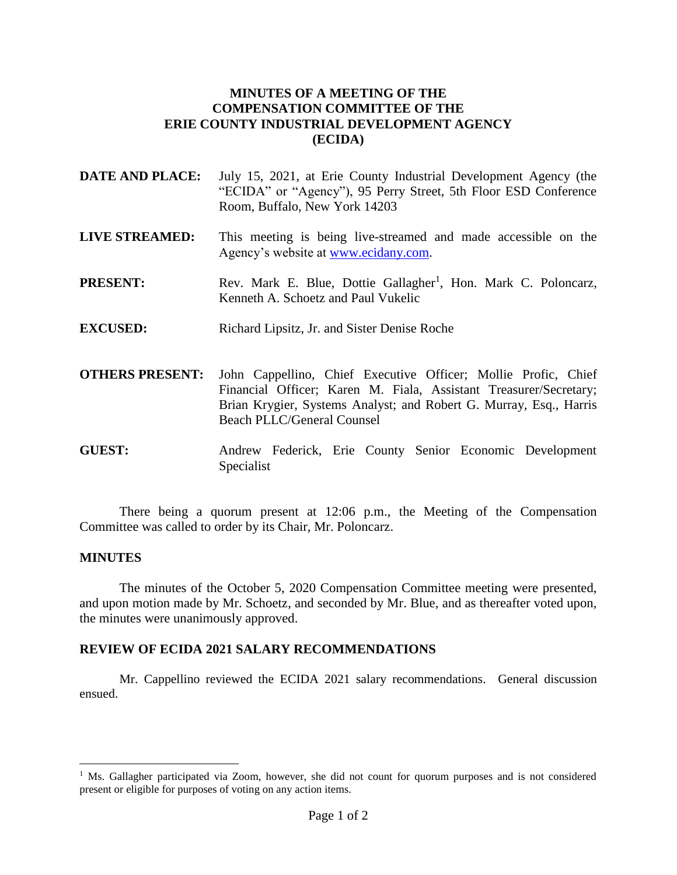## **MINUTES OF A MEETING OF THE COMPENSATION COMMITTEE OF THE ERIE COUNTY INDUSTRIAL DEVELOPMENT AGENCY (ECIDA)**

- **DATE AND PLACE:** July 15, 2021, at Erie County Industrial Development Agency (the "ECIDA" or "Agency"), 95 Perry Street, 5th Floor ESD Conference Room, Buffalo, New York 14203
- **LIVE STREAMED:** This meeting is being live-streamed and made accessible on the Agency's website at [www.ecidany.com.](http://www.ecidany.com/)
- **PRESENT:** Rev. Mark E. Blue, Dottie Gallagher<sup>1</sup>, Hon. Mark C. Poloncarz, Kenneth A. Schoetz and Paul Vukelic
- **EXCUSED:** Richard Lipsitz, Jr. and Sister Denise Roche
- **OTHERS PRESENT:** John Cappellino, Chief Executive Officer; Mollie Profic, Chief Financial Officer; Karen M. Fiala, Assistant Treasurer/Secretary; Brian Krygier, Systems Analyst; and Robert G. Murray, Esq., Harris Beach PLLC/General Counsel
- **GUEST:** Andrew Federick, Erie County Senior Economic Development Specialist

There being a quorum present at 12:06 p.m., the Meeting of the Compensation Committee was called to order by its Chair, Mr. Poloncarz.

## **MINUTES**

 $\overline{a}$ 

The minutes of the October 5, 2020 Compensation Committee meeting were presented, and upon motion made by Mr. Schoetz, and seconded by Mr. Blue, and as thereafter voted upon, the minutes were unanimously approved.

## **REVIEW OF ECIDA 2021 SALARY RECOMMENDATIONS**

Mr. Cappellino reviewed the ECIDA 2021 salary recommendations. General discussion ensued.

<sup>&</sup>lt;sup>1</sup> Ms. Gallagher participated via Zoom, however, she did not count for quorum purposes and is not considered present or eligible for purposes of voting on any action items.